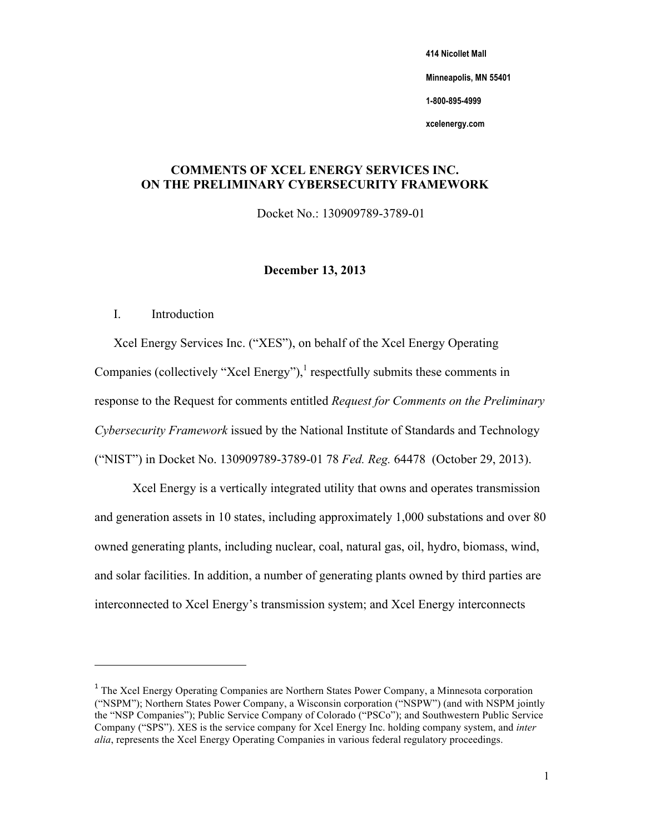**414 Nicollet Mall** 

 **Minneapolis, MN 55401** 

**1-800-895-4999** 

**xcelenergy.com** 

# **COMMENTS OF XCEL ENERGY SERVICES INC. ON THE PRELIMINARY CYBERSECURITY FRAMEWORK**

Docket No.: 130909789-3789-01

# **December 13, 2013**

# I. Introduction

 ("NIST") in Docket No. 130909789-3789-01 78 *Fed. Reg.* 64478 (October 29, 2013). Xcel Energy Services Inc. ("XES"), on behalf of the Xcel Energy Operating Companies (collectively "Xcel Energy"), $\frac{1}{1}$  respectfully submits these comments in response to the Request for comments entitled *Request for Comments on the Preliminary Cybersecurity Framework* issued by the National Institute of Standards and Technology

 Xcel Energy is a vertically integrated utility that owns and operates transmission and generation assets in 10 states, including approximately 1,000 substations and over 80 owned generating plants, including nuclear, coal, natural gas, oil, hydro, biomass, wind, and solar facilities. In addition, a number of generating plants owned by third parties are interconnected to Xcel Energy's transmission system; and Xcel Energy interconnects

 $1$  The Xcel Energy Operating Companies are Northern States Power Company, a Minnesota corporation ("NSPM"); Northern States Power Company, a Wisconsin corporation ("NSPW") (and with NSPM jointly Company ("SPS"). XES is the service company for Xcel Energy Inc. holding company system, and *inter*  the "NSP Companies"); Public Service Company of Colorado ("PSCo"); and Southwestern Public Service *alia*, represents the Xcel Energy Operating Companies in various federal regulatory proceedings.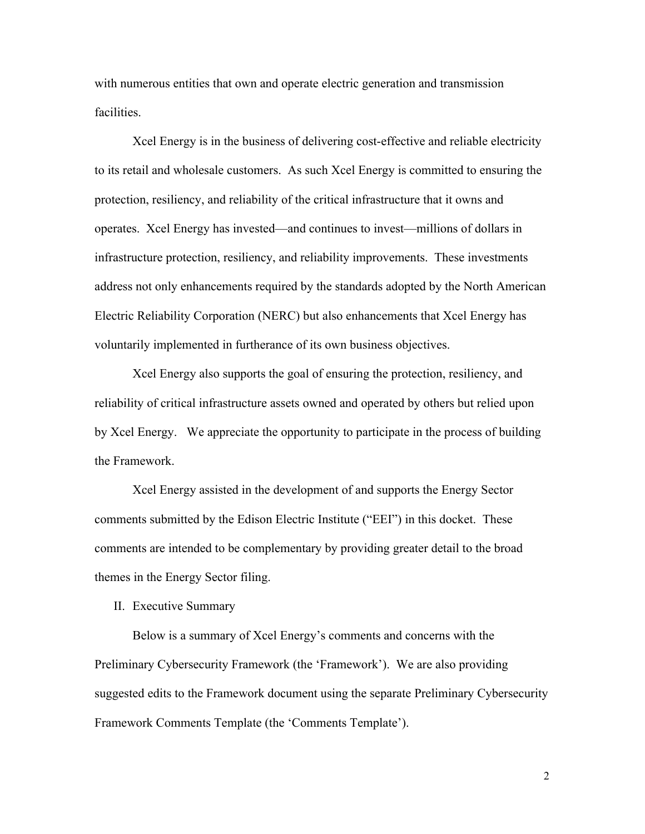with numerous entities that own and operate electric generation and transmission facilities.

 protection, resiliency, and reliability of the critical infrastructure that it owns and Xcel Energy is in the business of delivering cost-effective and reliable electricity to its retail and wholesale customers. As such Xcel Energy is committed to ensuring the operates. Xcel Energy has invested—and continues to invest—millions of dollars in infrastructure protection, resiliency, and reliability improvements. These investments address not only enhancements required by the standards adopted by the North American Electric Reliability Corporation (NERC) but also enhancements that Xcel Energy has voluntarily implemented in furtherance of its own business objectives.

 Xcel Energy also supports the goal of ensuring the protection, resiliency, and reliability of critical infrastructure assets owned and operated by others but relied upon by Xcel Energy. We appreciate the opportunity to participate in the process of building the Framework.

 Xcel Energy assisted in the development of and supports the Energy Sector comments submitted by the Edison Electric Institute ("EEI") in this docket. These comments are intended to be complementary by providing greater detail to the broad themes in the Energy Sector filing.

II. Executive Summary

 Below is a summary of Xcel Energy's comments and concerns with the Preliminary Cybersecurity Framework (the 'Framework'). We are also providing suggested edits to the Framework document using the separate Preliminary Cybersecurity Framework Comments Template (the 'Comments Template').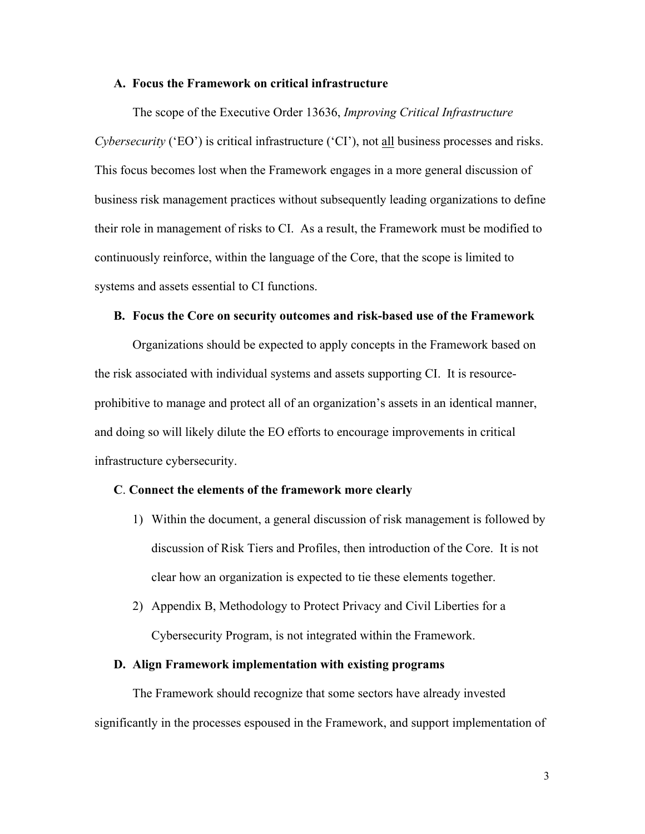#### **A. Focus the Framework on critical infrastructure**

 *Cybersecurity* ('EO') is critical infrastructure ('CI'), not all business processes and risks. This focus becomes lost when the Framework engages in a more general discussion of systems and assets essential to CI functions. The scope of the Executive Order 13636, *Improving Critical Infrastructure*  business risk management practices without subsequently leading organizations to define their role in management of risks to CI. As a result, the Framework must be modified to continuously reinforce, within the language of the Core, that the scope is limited to

#### **B. Focus the Core on security outcomes and risk-based use of the Framework**

 and doing so will likely dilute the EO efforts to encourage improvements in critical infrastructure cybersecurity. Organizations should be expected to apply concepts in the Framework based on the risk associated with individual systems and assets supporting CI. It is resourceprohibitive to manage and protect all of an organization's assets in an identical manner,

#### **C**. **Connect the elements of the framework more clearly**

- 1) Within the document, a general discussion of risk management is followed by discussion of Risk Tiers and Profiles, then introduction of the Core. It is not clear how an organization is expected to tie these elements together.
- 2) Appendix B, Methodology to Protect Privacy and Civil Liberties for a Cybersecurity Program, is not integrated within the Framework.

#### **D. Align Framework implementation with existing programs**

 significantly in the processes espoused in the Framework, and support implementation of The Framework should recognize that some sectors have already invested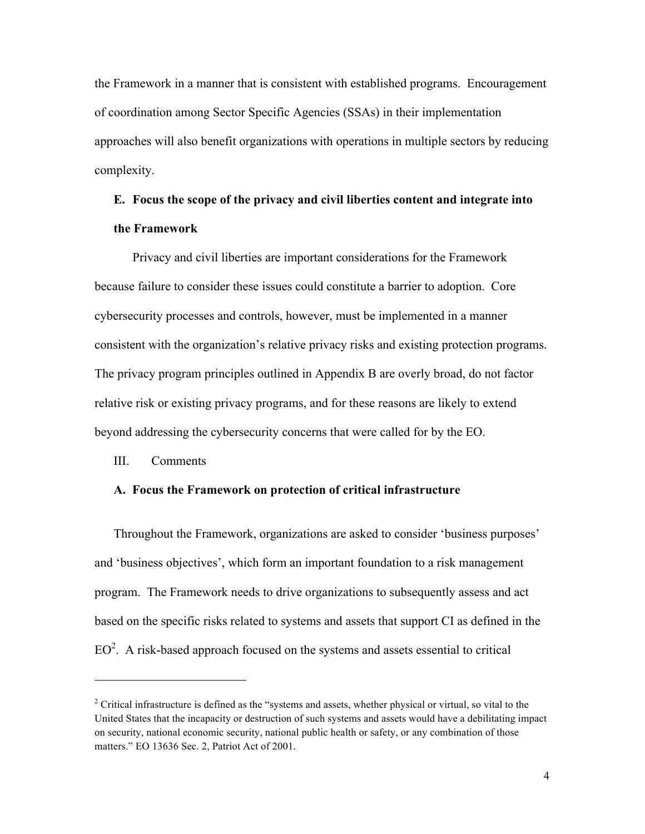the Framework in a manner that is consistent with established programs. Encouragement of coordination among Sector Specific Agencies (SSAs) in their implementation approaches will also benefit organizations with operations in multiple sectors by reducing complexity.

# **E. Focus the scope of the privacy and civil liberties content and integrate into the Framework**

 beyond addressing the cybersecurity concerns that were called for by the EO. Privacy and civil liberties are important considerations for the Framework because failure to consider these issues could constitute a barrier to adoption. Core cybersecurity processes and controls, however, must be implemented in a manner consistent with the organization's relative privacy risks and existing protection programs. The privacy program principles outlined in Appendix B are overly broad, do not factor relative risk or existing privacy programs, and for these reasons are likely to extend

## III. Comments

## **A. Focus the Framework on protection of critical infrastructure**

 based on the specific risks related to systems and assets that support CI as defined in the Throughout the Framework, organizations are asked to consider 'business purposes' and 'business objectives', which form an important foundation to a risk management program. The Framework needs to drive organizations to subsequently assess and act  $EO<sup>2</sup>$ . A risk-based approach focused on the systems and assets essential to critical

<sup>&</sup>lt;sup>2</sup> Critical infrastructure is defined as the "systems and assets, whether physical or virtual, so vital to the United States that the incapacity or destruction of such systems and assets would have a debilitating impact on security, national economic security, national public health or safety, or any combination of those matters." EO 13636 Sec. 2, Patriot Act of 2001.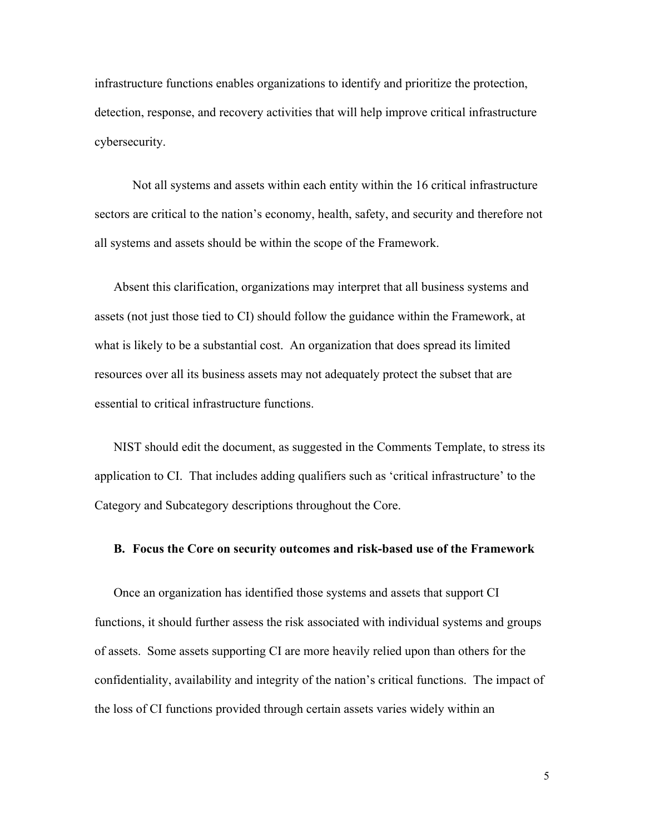infrastructure functions enables organizations to identify and prioritize the protection, detection, response, and recovery activities that will help improve critical infrastructure cybersecurity.

Not all systems and assets within each entity within the 16 critical infrastructure sectors are critical to the nation's economy, health, safety, and security and therefore not all systems and assets should be within the scope of the Framework.

 what is likely to be a substantial cost. An organization that does spread its limited Absent this clarification, organizations may interpret that all business systems and assets (not just those tied to CI) should follow the guidance within the Framework, at resources over all its business assets may not adequately protect the subset that are essential to critical infrastructure functions.

NIST should edit the document, as suggested in the Comments Template, to stress its application to CI. That includes adding qualifiers such as 'critical infrastructure' to the Category and Subcategory descriptions throughout the Core.

#### **B. Focus the Core on security outcomes and risk-based use of the Framework**

 confidentiality, availability and integrity of the nation's critical functions. The impact of the loss of CI functions provided through certain assets varies widely within an Once an organization has identified those systems and assets that support CI functions, it should further assess the risk associated with individual systems and groups of assets. Some assets supporting CI are more heavily relied upon than others for the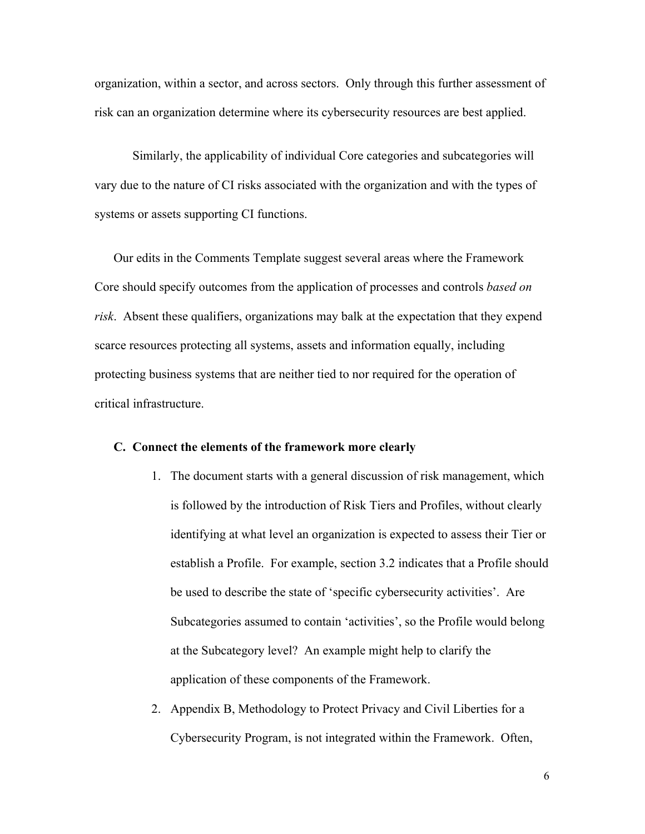organization, within a sector, and across sectors. Only through this further assessment of risk can an organization determine where its cybersecurity resources are best applied.

 vary due to the nature of CI risks associated with the organization and with the types of Similarly, the applicability of individual Core categories and subcategories will systems or assets supporting CI functions.

Our edits in the Comments Template suggest several areas where the Framework Core should specify outcomes from the application of processes and controls *based on risk*. Absent these qualifiers, organizations may balk at the expectation that they expend scarce resources protecting all systems, assets and information equally, including protecting business systems that are neither tied to nor required for the operation of critical infrastructure.

#### **C. Connect the elements of the framework more clearly**

- at the Subcategory level? An example might help to clarify the 1. The document starts with a general discussion of risk management, which is followed by the introduction of Risk Tiers and Profiles, without clearly identifying at what level an organization is expected to assess their Tier or establish a Profile. For example, section 3.2 indicates that a Profile should be used to describe the state of 'specific cybersecurity activities'. Are Subcategories assumed to contain 'activities', so the Profile would belong application of these components of the Framework.
- 2. Appendix B, Methodology to Protect Privacy and Civil Liberties for a Cybersecurity Program, is not integrated within the Framework. Often,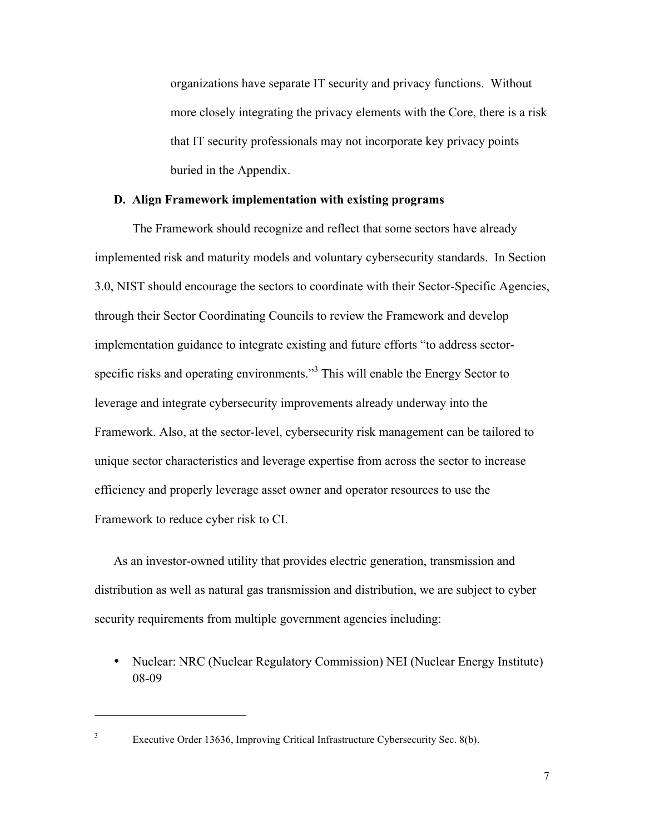organizations have separate IT security and privacy functions. Without more closely integrating the privacy elements with the Core, there is a risk that IT security professionals may not incorporate key privacy points buried in the Appendix.

## **D. Align Framework implementation with existing programs**

The Framework should recognize and reflect that some sectors have already implemented risk and maturity models and voluntary cybersecurity standards. In Section 3.0, NIST should encourage the sectors to coordinate with their Sector-Specific Agencies, through their Sector Coordinating Councils to review the Framework and develop implementation guidance to integrate existing and future efforts "to address sectorspecific risks and operating environments."<sup>3</sup> This will enable the Energy Sector to leverage and integrate cybersecurity improvements already underway into the Framework. Also, at the sector-level, cybersecurity risk management can be tailored to unique sector characteristics and leverage expertise from across the sector to increase efficiency and properly leverage asset owner and operator resources to use the Framework to reduce cyber risk to CI.

 distribution as well as natural gas transmission and distribution, we are subject to cyber As an investor-owned utility that provides electric generation, transmission and security requirements from multiple government agencies including:

08-09 • Nuclear: NRC (Nuclear Regulatory Commission) NEI (Nuclear Energy Institute)

 3

Executive Order 13636, Improving Critical Infrastructure Cybersecurity Sec. 8(b).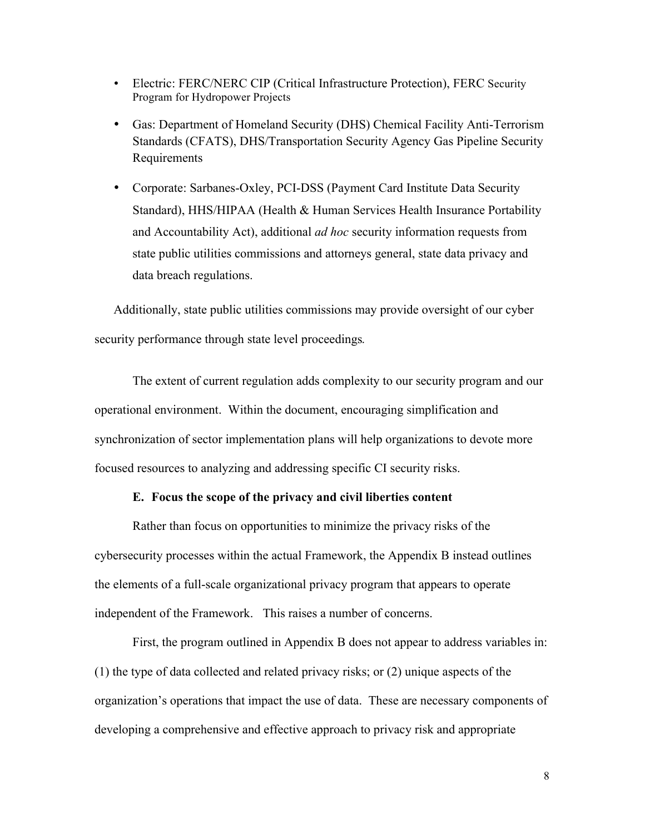- Program for Hydropower Projects • Electric: FERC/NERC CIP (Critical Infrastructure Protection), FERC Security
- Gas: Department of Homeland Security (DHS) Chemical Facility Anti-Terrorism Standards (CFATS), DHS/Transportation Security Agency Gas Pipeline Security Requirements
- and Accountability Act), additional *ad hoc* security information requests from • Corporate: Sarbanes-Oxley, PCI-DSS (Payment Card Institute Data Security Standard), HHS/HIPAA (Health & Human Services Health Insurance Portability state public utilities commissions and attorneys general, state data privacy and data breach regulations.

Additionally, state public utilities commissions may provide oversight of our cyber security performance through state level proceedings*.*

The extent of current regulation adds complexity to our security program and our operational environment. Within the document, encouraging simplification and synchronization of sector implementation plans will help organizations to devote more focused resources to analyzing and addressing specific CI security risks.

## **E. Focus the scope of the privacy and civil liberties content**

 Rather than focus on opportunities to minimize the privacy risks of the cybersecurity processes within the actual Framework, the Appendix B instead outlines the elements of a full-scale organizational privacy program that appears to operate independent of the Framework. This raises a number of concerns.

First, the program outlined in Appendix B does not appear to address variables in: (1) the type of data collected and related privacy risks; or (2) unique aspects of the organization's operations that impact the use of data. These are necessary components of developing a comprehensive and effective approach to privacy risk and appropriate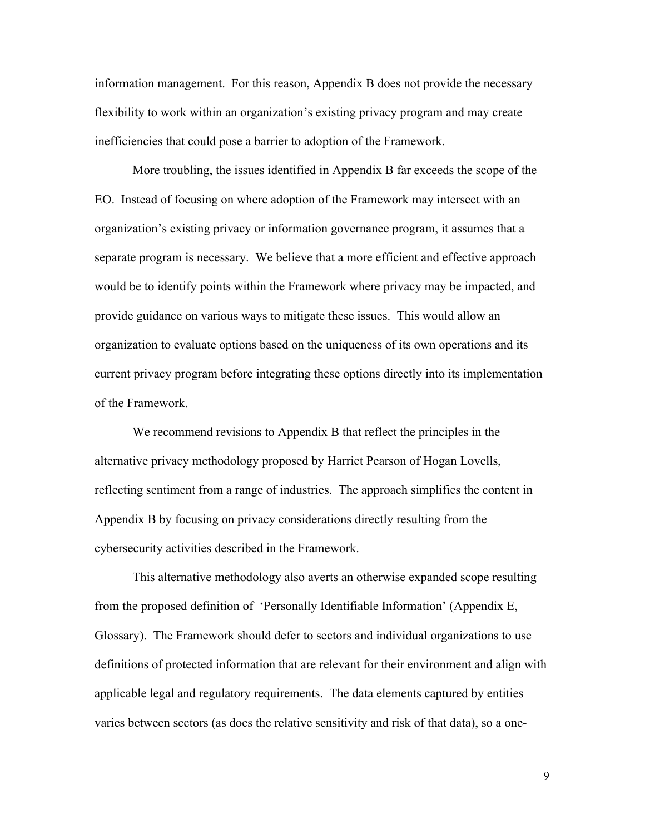information management. For this reason, Appendix B does not provide the necessary flexibility to work within an organization's existing privacy program and may create inefficiencies that could pose a barrier to adoption of the Framework.

 More troubling, the issues identified in Appendix B far exceeds the scope of the EO. Instead of focusing on where adoption of the Framework may intersect with an organization's existing privacy or information governance program, it assumes that a separate program is necessary. We believe that a more efficient and effective approach would be to identify points within the Framework where privacy may be impacted, and provide guidance on various ways to mitigate these issues. This would allow an organization to evaluate options based on the uniqueness of its own operations and its current privacy program before integrating these options directly into its implementation of the Framework.

 We recommend revisions to Appendix B that reflect the principles in the reflecting sentiment from a range of industries. The approach simplifies the content in alternative privacy methodology proposed by Harriet Pearson of Hogan Lovells, Appendix B by focusing on privacy considerations directly resulting from the cybersecurity activities described in the Framework.

 Glossary). The Framework should defer to sectors and individual organizations to use varies between sectors (as does the relative sensitivity and risk of that data), so a one-This alternative methodology also averts an otherwise expanded scope resulting from the proposed definition of 'Personally Identifiable Information' (Appendix E, definitions of protected information that are relevant for their environment and align with applicable legal and regulatory requirements. The data elements captured by entities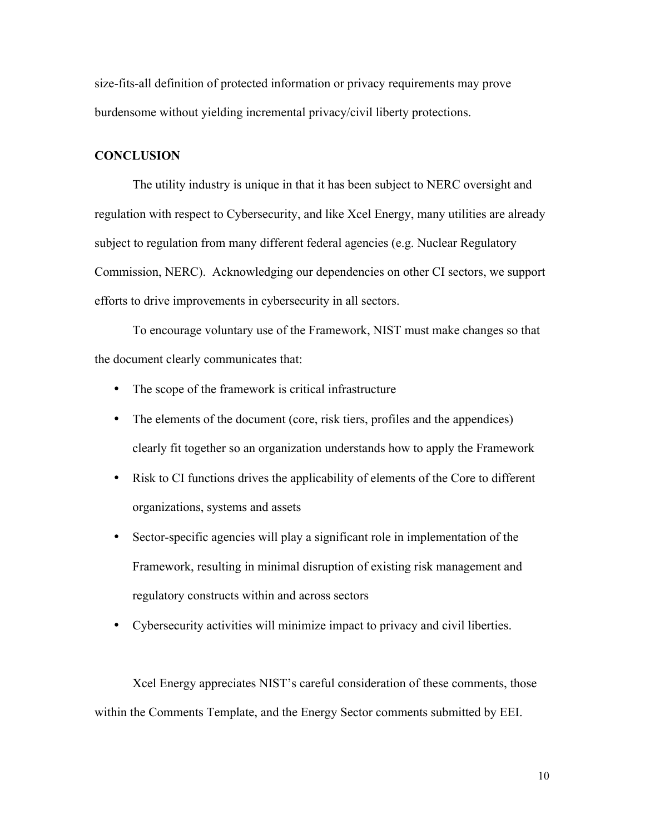size-fits-all definition of protected information or privacy requirements may prove burdensome without yielding incremental privacy/civil liberty protections.

## **CONCLUSION**

 regulation with respect to Cybersecurity, and like Xcel Energy, many utilities are already subject to regulation from many different federal agencies (e.g. Nuclear Regulatory The utility industry is unique in that it has been subject to NERC oversight and Commission, NERC). Acknowledging our dependencies on other CI sectors, we support efforts to drive improvements in cybersecurity in all sectors.

To encourage voluntary use of the Framework, NIST must make changes so that the document clearly communicates that:

- The scope of the framework is critical infrastructure
- The elements of the document (core, risk tiers, profiles and the appendices) clearly fit together so an organization understands how to apply the Framework
- organizations, systems and assets • Risk to CI functions drives the applicability of elements of the Core to different
- Sector-specific agencies will play a significant role in implementation of the Framework, resulting in minimal disruption of existing risk management and regulatory constructs within and across sectors
- • Cybersecurity activities will minimize impact to privacy and civil liberties.

 Xcel Energy appreciates NIST's careful consideration of these comments, those within the Comments Template, and the Energy Sector comments submitted by EEI.